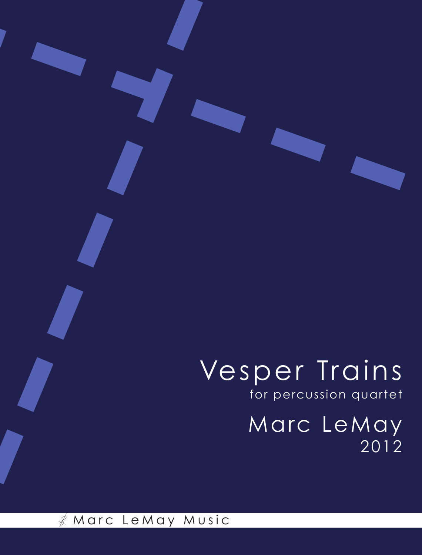## Vesper Trains for percussion quartet

## Marc LeMay 2012

Marc LeMay Music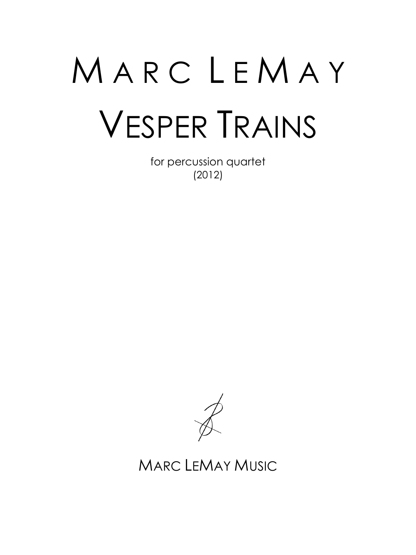# M A R C L E M A Y VESPER TRAINS

for percussion quartet (2012)



MARC LEMAY MUSIC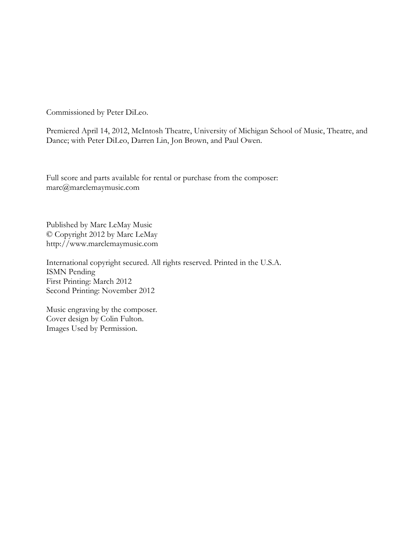Commissioned by Peter DiLeo.

Premiered April 14, 2012, McIntosh Theatre, University of Michigan School of Music, Theatre, and Dance; with Peter DiLeo, Darren Lin, Jon Brown, and Paul Owen.

Full score and parts available for rental or purchase from the composer: marc@marclemaymusic.com

Published by Marc LeMay Music © Copyright 2012 by Marc LeMay http://www.marclemaymusic.com

International copyright secured. All rights reserved. Printed in the U.S.A. ISMN Pending First Printing: March 2012 Second Printing: November 2012

Music engraving by the composer. Cover design by Colin Fulton. Images Used by Permission.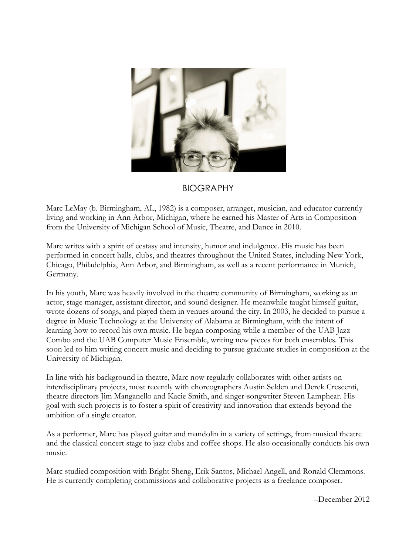

#### BIOGRAPHY

Marc LeMay (b. Birmingham, AL, 1982) is a composer, arranger, musician, and educator currently living and working in Ann Arbor, Michigan, where he earned his Master of Arts in Composition from the University of Michigan School of Music, Theatre, and Dance in 2010.

Marc writes with a spirit of ecstasy and intensity, humor and indulgence. His music has been performed in concert halls, clubs, and theatres throughout the United States, including New York, Chicago, Philadelphia, Ann Arbor, and Birmingham, as well as a recent performance in Munich, Germany.

In his youth, Marc was heavily involved in the theatre community of Birmingham, working as an actor, stage manager, assistant director, and sound designer. He meanwhile taught himself guitar, wrote dozens of songs, and played them in venues around the city. In 2003, he decided to pursue a degree in Music Technology at the University of Alabama at Birmingham, with the intent of learning how to record his own music. He began composing while a member of the UAB Jazz Combo and the UAB Computer Music Ensemble, writing new pieces for both ensembles. This soon led to him writing concert music and deciding to pursue graduate studies in composition at the University of Michigan.

In line with his background in theatre, Marc now regularly collaborates with other artists on interdisciplinary projects, most recently with choreographers Austin Selden and Derek Crescenti, theatre directors Jim Manganello and Kacie Smith, and singer-songwriter Steven Lamphear. His goal with such projects is to foster a spirit of creativity and innovation that extends beyond the ambition of a single creator.

As a performer, Marc has played guitar and mandolin in a variety of settings, from musical theatre and the classical concert stage to jazz clubs and coffee shops. He also occasionally conducts his own music.

Marc studied composition with Bright Sheng, Erik Santos, Michael Angell, and Ronald Clemmons. He is currently completing commissions and collaborative projects as a freelance composer.

–December 2012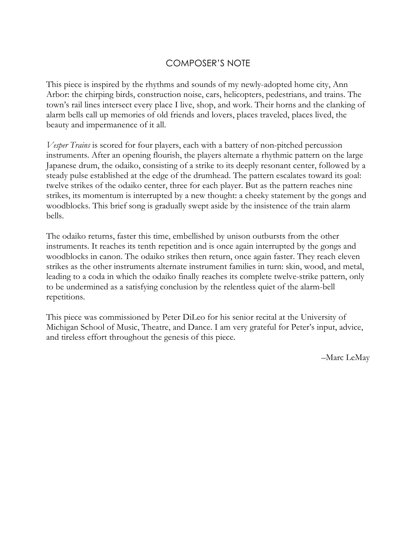#### COMPOSER'S NOTE

This piece is inspired by the rhythms and sounds of my newly-adopted home city, Ann Arbor: the chirping birds, construction noise, cars, helicopters, pedestrians, and trains. The town's rail lines intersect every place I live, shop, and work. Their horns and the clanking of alarm bells call up memories of old friends and lovers, places traveled, places lived, the beauty and impermanence of it all.

*Vesper Trains* is scored for four players, each with a battery of non-pitched percussion instruments. After an opening flourish, the players alternate a rhythmic pattern on the large Japanese drum, the odaiko, consisting of a strike to its deeply resonant center, followed by a steady pulse established at the edge of the drumhead. The pattern escalates toward its goal: twelve strikes of the odaiko center, three for each player. But as the pattern reaches nine strikes, its momentum is interrupted by a new thought: a cheeky statement by the gongs and woodblocks. This brief song is gradually swept aside by the insistence of the train alarm bells.

The odaiko returns, faster this time, embellished by unison outbursts from the other instruments. It reaches its tenth repetition and is once again interrupted by the gongs and woodblocks in canon. The odaiko strikes then return, once again faster. They reach eleven strikes as the other instruments alternate instrument families in turn: skin, wood, and metal, leading to a coda in which the odaiko finally reaches its complete twelve-strike pattern, only to be undermined as a satisfying conclusion by the relentless quiet of the alarm-bell repetitions.

This piece was commissioned by Peter DiLeo for his senior recital at the University of Michigan School of Music, Theatre, and Dance. I am very grateful for Peter's input, advice, and tireless effort throughout the genesis of this piece.

–Marc LeMay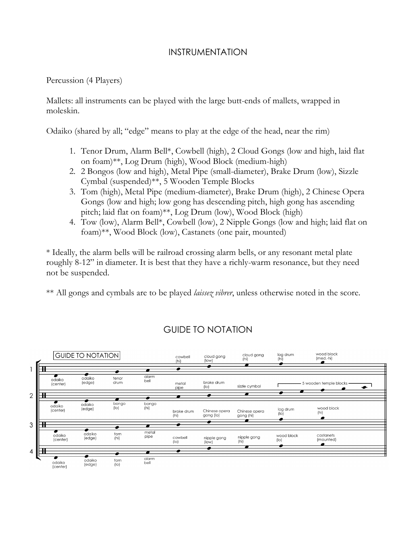#### INSTRUMENTATION

Percussion (4 Players)

Mallets: all instruments can be played with the large butt-ends of mallets, wrapped in moleskin.

Odaiko (shared by all; "edge" means to play at the edge of the head, near the rim)

- 1. Tenor Drum, Alarm Bell\*, Cowbell (high), 2 Cloud Gongs (low and high, laid flat on foam)\*\*, Log Drum (high), Wood Block (medium-high)
- 2. 2 Bongos (low and high), Metal Pipe (small-diameter), Brake Drum (low), Sizzle Cymbal (suspended)\*\*, 5 Wooden Temple Blocks
- 3. Tom (high), Metal Pipe (medium-diameter), Brake Drum (high), 2 Chinese Opera Gongs (low and high; low gong has descending pitch, high gong has ascending pitch; laid flat on foam)\*\*, Log Drum (low), Wood Block (high)
- 4. Tow (low), Alarm Bell\*, Cowbell (low), 2 Nipple Gongs (low and high; laid flat on foam)\*\*, Wood Block (low), Castanets (one pair, mounted)

\* Ideally, the alarm bells will be railroad crossing alarm bells, or any resonant metal plate roughly 8-12" in diameter. It is best that they have a richly-warm resonance, but they need not be suspended.

\*\* All gongs and cymbals are to be played *laissez vibrer*, unless otherwise noted in the score.



#### GUIDE TO NOTATION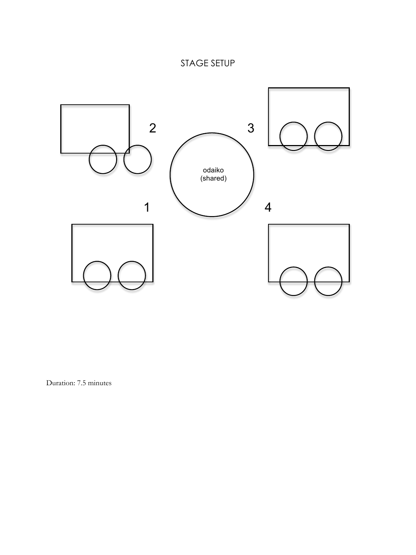#### STAGE SETUP



Duration: 7.5 minutes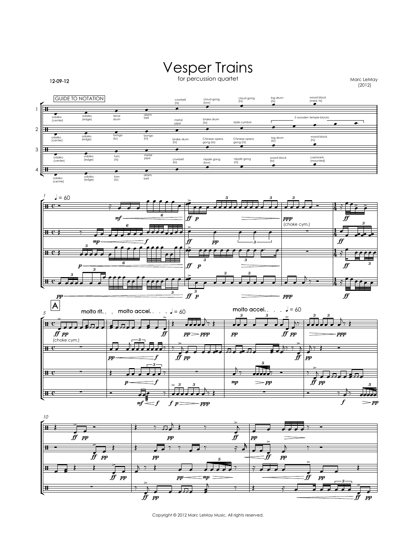for percussion quartet  $\blacksquare$  Marc LeMay

 $(2012)$ 

|   |    |                    | <b>GUIDE TO NOTATION</b> |               |               | cowbell<br>(hi)    | cloud gong<br>(low)        | cloud gong<br>(hi)         | log drum<br>(hi)         | wood block<br>(med.-hi) |           |
|---|----|--------------------|--------------------------|---------------|---------------|--------------------|----------------------------|----------------------------|--------------------------|-------------------------|-----------|
|   | IН |                    |                          |               |               |                    |                            |                            |                          |                         |           |
|   |    | odaiko<br>(center) | odaiko<br>(edge)         | tenor<br>drum | alarm<br>bell | metal<br>pipe      | brake drum<br>(IO)         | sizzle cymbal              |                          | 5 wooden temple blocks  | $\bullet$ |
| 2 | F  |                    |                          |               |               |                    |                            |                            |                          |                         |           |
|   |    | odaiko<br>(center) | odaiko<br>(edge)         | bongo<br>(IO) | bongo<br>(hi) | brake drum<br>(hi) | Chinese opera<br>gong (lo) | Chinese opera<br>gong (hi) | log drum<br>(lo)         | wood block<br>(hi)      |           |
| 3 | Ħ  |                    |                          |               |               |                    |                            |                            |                          |                         |           |
|   |    | odaiko<br>(center) | odaiko<br>(edge)         | tom<br>(hi)   | metal<br>pipe | cowbell<br>(IO)    | nipple gong<br>(low)       | nipple gong<br>(hi)        | wood block<br>$($ lo $)$ | castanets<br>(mounted)  |           |
| 4 | Ħ  |                    |                          |               |               |                    |                            |                            |                          |                         |           |
|   |    | odaiko<br>(center) | odaiko<br>(edge)         | tom<br>(IO)   | alarm<br>bell |                    |                            |                            |                          |                         |           |





Copyright © 2012 Marc LeMay Music. All rights reserved.

12-09-12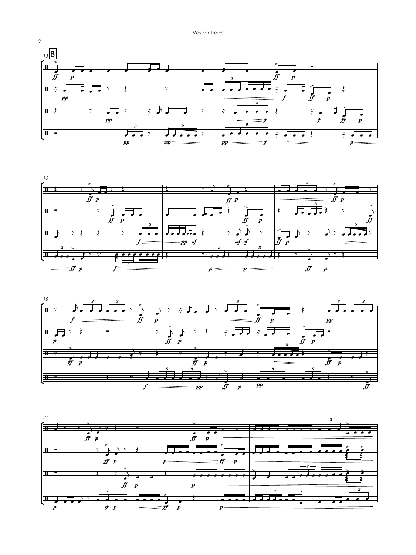







2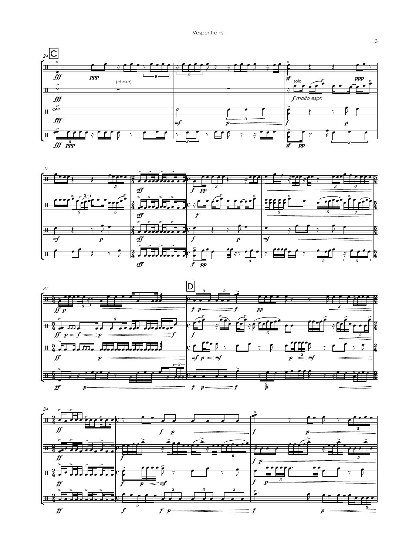





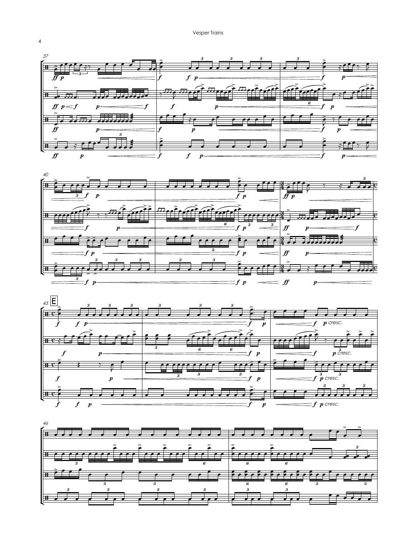







 $\overline{4}$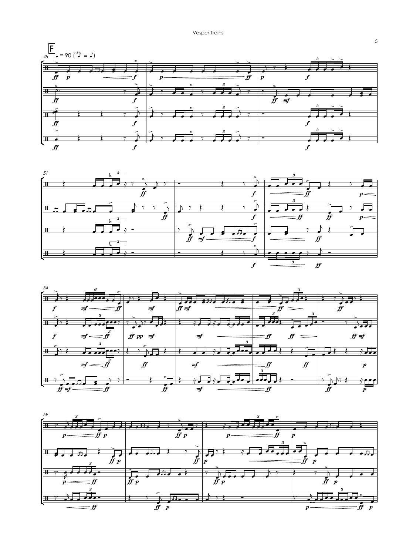





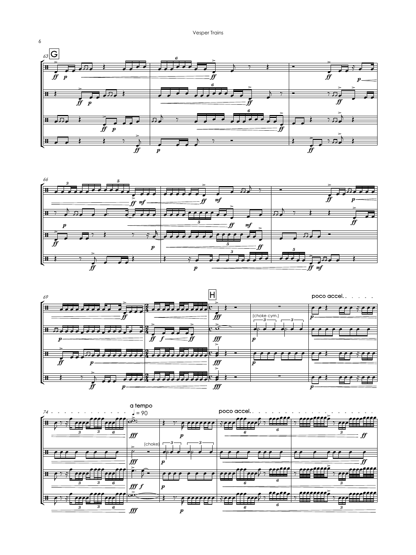







6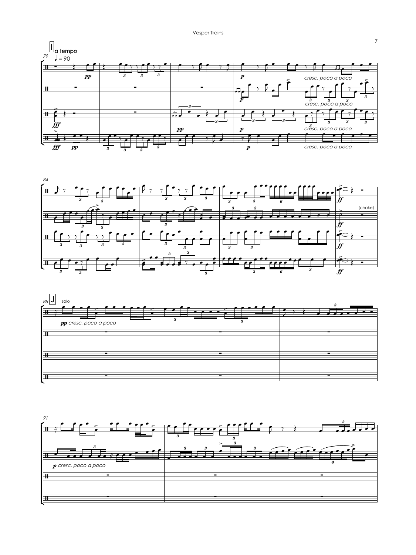





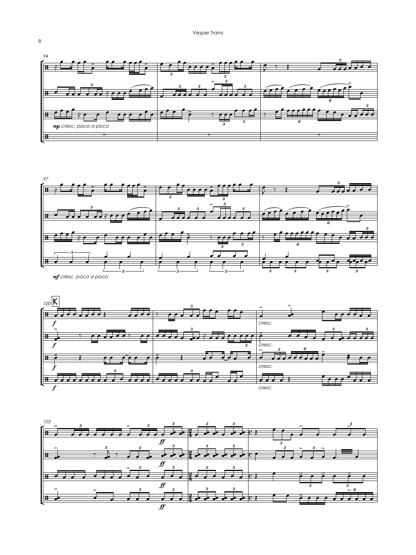





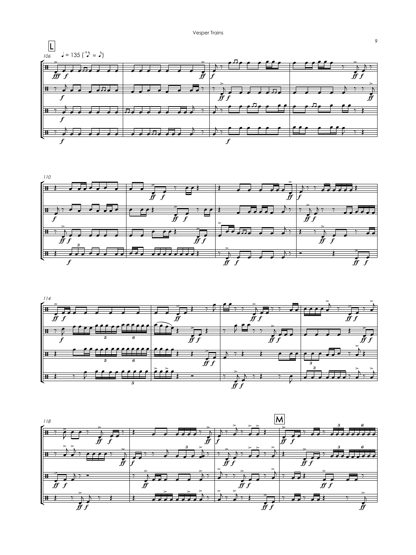





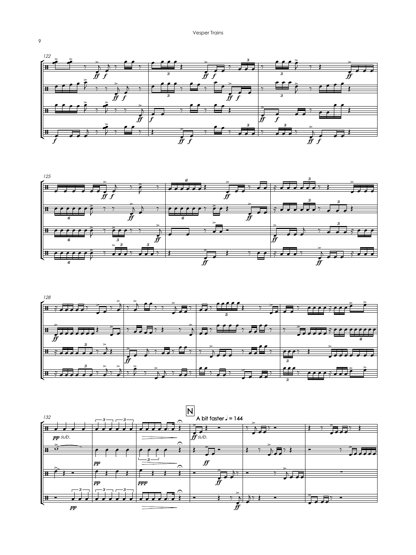





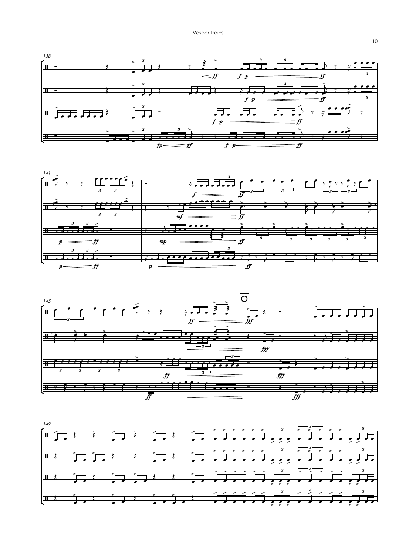





149 표 T ≸—ा **FI**  $\mathbf{H}$  $\overrightarrow{ }$ ∃ ∤  $\leftarrow$ **FI**  $\ddot{\mathbf{c}}$  $\overline{J}$   $\overline{J}$   $\overline{t}$  $\sqrt{1}$  $\begin{array}{|c|c|c|}\hline \text{H} & \text{ } \end{array}$  $\equiv$   $\epsilon$  $\overline{\phantom{a}}$  $\overline{1}$  $\overline{\phantom{a}}$